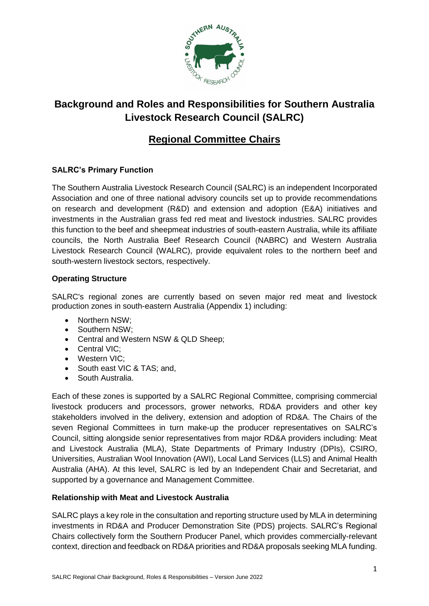

# **Background and Roles and Responsibilities for Southern Australia Livestock Research Council (SALRC)**

## **Regional Committee Chairs**

### **SALRC's Primary Function**

The Southern Australia Livestock Research Council (SALRC) is an independent Incorporated Association and one of three national advisory councils set up to provide recommendations on research and development (R&D) and extension and adoption (E&A) initiatives and investments in the Australian grass fed red meat and livestock industries. SALRC provides this function to the beef and sheepmeat industries of south-eastern Australia, while its affiliate councils, the North Australia Beef Research Council (NABRC) and Western Australia Livestock Research Council (WALRC), provide equivalent roles to the northern beef and south-western livestock sectors, respectively.

#### **Operating Structure**

SALRC's regional zones are currently based on seven major red meat and livestock production zones in south-eastern Australia (Appendix 1) including:

- Northern NSW:
- Southern NSW:
- Central and Western NSW & QLD Sheep;
- Central VIC;
- Western VIC;
- South east VIC & TAS; and,
- South Australia.

Each of these zones is supported by a SALRC Regional Committee, comprising commercial livestock producers and processors, grower networks, RD&A providers and other key stakeholders involved in the delivery, extension and adoption of RD&A. The Chairs of the seven Regional Committees in turn make-up the producer representatives on SALRC's Council, sitting alongside senior representatives from major RD&A providers including: Meat and Livestock Australia (MLA), State Departments of Primary Industry (DPIs), CSIRO, Universities, Australian Wool Innovation (AWI), Local Land Services (LLS) and Animal Health Australia (AHA). At this level, SALRC is led by an Independent Chair and Secretariat, and supported by a governance and Management Committee.

#### **Relationship with Meat and Livestock Australia**

SALRC plays a key role in the consultation and reporting structure used by MLA in determining investments in RD&A and Producer Demonstration Site (PDS) projects. SALRC's Regional Chairs collectively form the Southern Producer Panel, which provides commercially-relevant context, direction and feedback on RD&A priorities and RD&A proposals seeking MLA funding.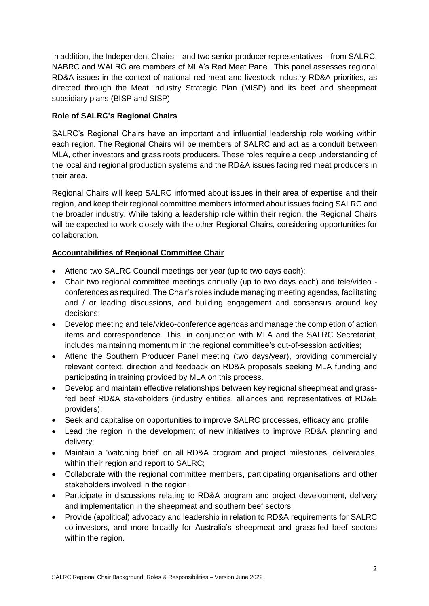In addition, the Independent Chairs – and two senior producer representatives – from SALRC, NABRC and WALRC are members of MLA's Red Meat Panel. This panel assesses regional RD&A issues in the context of national red meat and livestock industry RD&A priorities, as directed through the Meat Industry Strategic Plan (MISP) and its beef and sheepmeat subsidiary plans (BISP and SISP).

#### **Role of SALRC's Regional Chairs**

SALRC's Regional Chairs have an important and influential leadership role working within each region. The Regional Chairs will be members of SALRC and act as a conduit between MLA, other investors and grass roots producers. These roles require a deep understanding of the local and regional production systems and the RD&A issues facing red meat producers in their area.

Regional Chairs will keep SALRC informed about issues in their area of expertise and their region, and keep their regional committee members informed about issues facing SALRC and the broader industry. While taking a leadership role within their region, the Regional Chairs will be expected to work closely with the other Regional Chairs, considering opportunities for collaboration.

### **Accountabilities of Regional Committee Chair**

- Attend two SALRC Council meetings per year (up to two days each);
- Chair two regional committee meetings annually (up to two days each) and tele/video conferences as required. The Chair's roles include managing meeting agendas, facilitating and / or leading discussions, and building engagement and consensus around key decisions;
- Develop meeting and tele/video-conference agendas and manage the completion of action items and correspondence. This, in conjunction with MLA and the SALRC Secretariat, includes maintaining momentum in the regional committee's out-of-session activities;
- Attend the Southern Producer Panel meeting (two days/year), providing commercially relevant context, direction and feedback on RD&A proposals seeking MLA funding and participating in training provided by MLA on this process.
- Develop and maintain effective relationships between key regional sheepmeat and grassfed beef RD&A stakeholders (industry entities, alliances and representatives of RD&E providers);
- Seek and capitalise on opportunities to improve SALRC processes, efficacy and profile;
- Lead the region in the development of new initiatives to improve RD&A planning and delivery;
- Maintain a 'watching brief' on all RD&A program and project milestones, deliverables, within their region and report to SALRC:
- Collaborate with the regional committee members, participating organisations and other stakeholders involved in the region;
- Participate in discussions relating to RD&A program and project development, delivery and implementation in the sheepmeat and southern beef sectors;
- Provide (apolitical) advocacy and leadership in relation to RD&A requirements for SALRC co-investors, and more broadly for Australia's sheepmeat and grass-fed beef sectors within the region.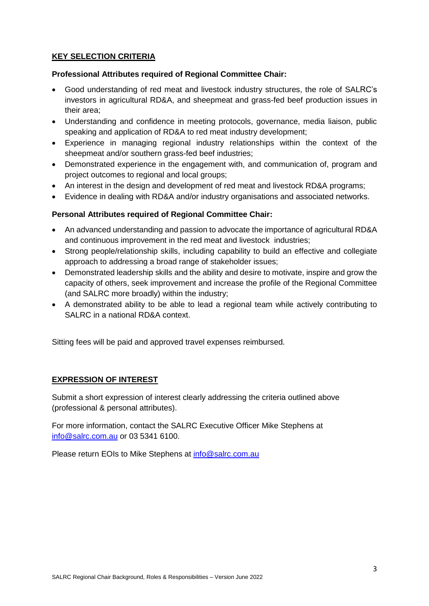#### **KEY SELECTION CRITERIA**

#### **Professional Attributes required of Regional Committee Chair:**

- Good understanding of red meat and livestock industry structures, the role of SALRC's investors in agricultural RD&A, and sheepmeat and grass-fed beef production issues in their area;
- Understanding and confidence in meeting protocols, governance, media liaison, public speaking and application of RD&A to red meat industry development;
- Experience in managing regional industry relationships within the context of the sheepmeat and/or southern grass-fed beef industries;
- Demonstrated experience in the engagement with, and communication of, program and project outcomes to regional and local groups;
- An interest in the design and development of red meat and livestock RD&A programs;
- Evidence in dealing with RD&A and/or industry organisations and associated networks.

#### **Personal Attributes required of Regional Committee Chair:**

- An advanced understanding and passion to advocate the importance of agricultural RD&A and continuous improvement in the red meat and livestock industries;
- Strong people/relationship skills, including capability to build an effective and collegiate approach to addressing a broad range of stakeholder issues;
- Demonstrated leadership skills and the ability and desire to motivate, inspire and grow the capacity of others, seek improvement and increase the profile of the Regional Committee (and SALRC more broadly) within the industry;
- A demonstrated ability to be able to lead a regional team while actively contributing to SALRC in a national RD&A context.

Sitting fees will be paid and approved travel expenses reimbursed.

#### **EXPRESSION OF INTEREST**

Submit a short expression of interest clearly addressing the criteria outlined above (professional & personal attributes).

For more information, contact the SALRC Executive Officer Mike Stephens at [info@salrc.com.au](mailto:info@salrc.com.au) or 03 5341 6100.

Please return EOIs to Mike Stephens at [info@salrc.com.au](mailto:info@salrc.com.au)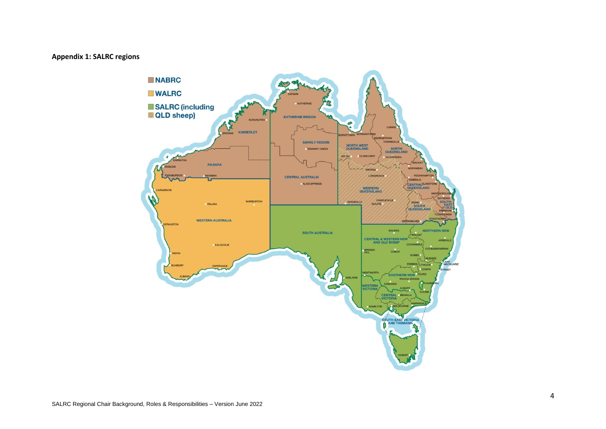#### **Appendix 1: SALRC regions**